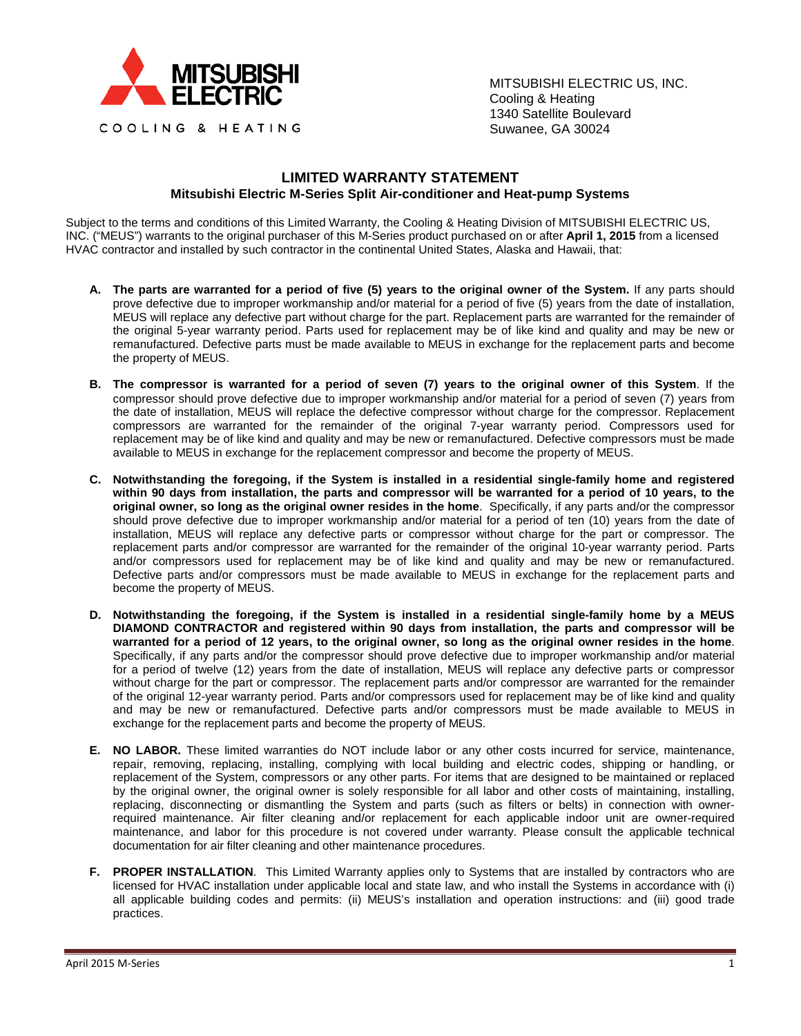

MITSUBISHI ELECTRIC US, INC. Cooling & Heating 1340 Satellite Boulevard Suwanee, GA 30024

## **LIMITED WARRANTY STATEMENT Mitsubishi Electric M-Series Split Air-conditioner and Heat-pump Systems**

Subject to the terms and conditions of this Limited Warranty, the Cooling & Heating Division of MITSUBISHI ELECTRIC US, INC. ("MEUS") warrants to the original purchaser of this M-Series product purchased on or after **April 1, 2015** from a licensed HVAC contractor and installed by such contractor in the continental United States, Alaska and Hawaii, that:

- **A. The parts are warranted for a period of five (5) years to the original owner of the System.** If any parts should prove defective due to improper workmanship and/or material for a period of five (5) years from the date of installation, MEUS will replace any defective part without charge for the part. Replacement parts are warranted for the remainder of the original 5-year warranty period. Parts used for replacement may be of like kind and quality and may be new or remanufactured. Defective parts must be made available to MEUS in exchange for the replacement parts and become the property of MEUS.
- **B. The compressor is warranted for a period of seven (7) years to the original owner of this System**. If the compressor should prove defective due to improper workmanship and/or material for a period of seven (7) years from the date of installation, MEUS will replace the defective compressor without charge for the compressor. Replacement compressors are warranted for the remainder of the original 7-year warranty period. Compressors used for replacement may be of like kind and quality and may be new or remanufactured. Defective compressors must be made available to MEUS in exchange for the replacement compressor and become the property of MEUS.
- **C. Notwithstanding the foregoing, if the System is installed in a residential single-family home and registered within 90 days from installation, the parts and compressor will be warranted for a period of 10 years, to the original owner, so long as the original owner resides in the home**. Specifically, if any parts and/or the compressor should prove defective due to improper workmanship and/or material for a period of ten (10) years from the date of installation, MEUS will replace any defective parts or compressor without charge for the part or compressor. The replacement parts and/or compressor are warranted for the remainder of the original 10-year warranty period. Parts and/or compressors used for replacement may be of like kind and quality and may be new or remanufactured. Defective parts and/or compressors must be made available to MEUS in exchange for the replacement parts and become the property of MEUS.
- **D. Notwithstanding the foregoing, if the System is installed in a residential single-family home by a MEUS DIAMOND CONTRACTOR and registered within 90 days from installation, the parts and compressor will be warranted for a period of 12 years, to the original owner, so long as the original owner resides in the home**. Specifically, if any parts and/or the compressor should prove defective due to improper workmanship and/or material for a period of twelve (12) years from the date of installation, MEUS will replace any defective parts or compressor without charge for the part or compressor. The replacement parts and/or compressor are warranted for the remainder of the original 12-year warranty period. Parts and/or compressors used for replacement may be of like kind and quality and may be new or remanufactured. Defective parts and/or compressors must be made available to MEUS in exchange for the replacement parts and become the property of MEUS.
- **E. NO LABOR.** These limited warranties do NOT include labor or any other costs incurred for service, maintenance, repair, removing, replacing, installing, complying with local building and electric codes, shipping or handling, or replacement of the System, compressors or any other parts. For items that are designed to be maintained or replaced by the original owner, the original owner is solely responsible for all labor and other costs of maintaining, installing, replacing, disconnecting or dismantling the System and parts (such as filters or belts) in connection with ownerrequired maintenance. Air filter cleaning and/or replacement for each applicable indoor unit are owner-required maintenance, and labor for this procedure is not covered under warranty. Please consult the applicable technical documentation for air filter cleaning and other maintenance procedures.
- **F. PROPER INSTALLATION**. This Limited Warranty applies only to Systems that are installed by contractors who are licensed for HVAC installation under applicable local and state law, and who install the Systems in accordance with (i) all applicable building codes and permits: (ii) MEUS's installation and operation instructions: and (iii) good trade practices.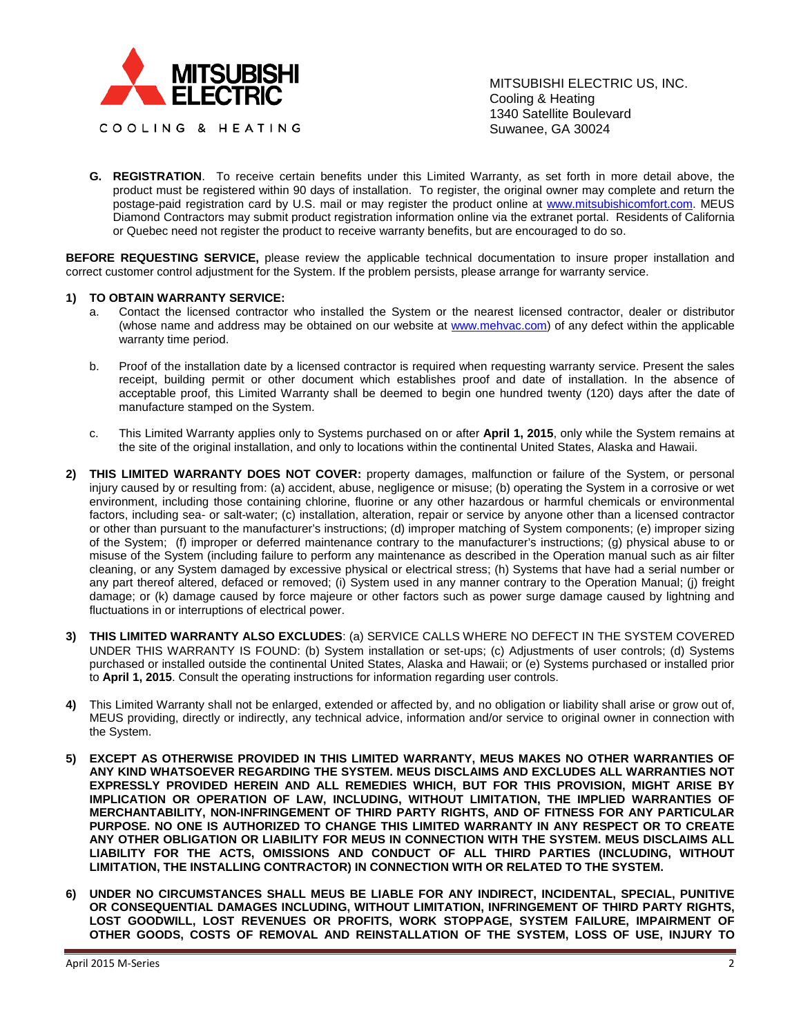

MITSUBISHI ELECTRIC US, INC. Cooling & Heating 1340 Satellite Boulevard Suwanee, GA 30024

**G. REGISTRATION**. To receive certain benefits under this Limited Warranty, as set forth in more detail above, the product must be registered within 90 days of installation. To register, the original owner may complete and return the postage-paid registration card by U.S. mail or may register the product online at [www.mitsubishicomfort.com.](http://www.mitsubishicomfort.com/) MEUS Diamond Contractors may submit product registration information online via the extranet portal. Residents of California or Quebec need not register the product to receive warranty benefits, but are encouraged to do so.

**BEFORE REQUESTING SERVICE,** please review the applicable technical documentation to insure proper installation and correct customer control adjustment for the System. If the problem persists, please arrange for warranty service.

## **1) TO OBTAIN WARRANTY SERVICE:**

- a. Contact the licensed contractor who installed the System or the nearest licensed contractor, dealer or distributor (whose name and address may be obtained on our website at [www.mehvac.com\)](http://www.mehvac.com/) of any defect within the applicable warranty time period.
- b. Proof of the installation date by a licensed contractor is required when requesting warranty service. Present the sales receipt, building permit or other document which establishes proof and date of installation. In the absence of acceptable proof, this Limited Warranty shall be deemed to begin one hundred twenty (120) days after the date of manufacture stamped on the System.
- c. This Limited Warranty applies only to Systems purchased on or after **April 1, 2015**, only while the System remains at the site of the original installation, and only to locations within the continental United States, Alaska and Hawaii.
- **2) THIS LIMITED WARRANTY DOES NOT COVER:** property damages, malfunction or failure of the System, or personal injury caused by or resulting from: (a) accident, abuse, negligence or misuse; (b) operating the System in a corrosive or wet environment, including those containing chlorine, fluorine or any other hazardous or harmful chemicals or environmental factors, including sea- or salt-water; (c) installation, alteration, repair or service by anyone other than a licensed contractor or other than pursuant to the manufacturer's instructions; (d) improper matching of System components; (e) improper sizing of the System; (f) improper or deferred maintenance contrary to the manufacturer's instructions; (g) physical abuse to or misuse of the System (including failure to perform any maintenance as described in the Operation manual such as air filter cleaning, or any System damaged by excessive physical or electrical stress; (h) Systems that have had a serial number or any part thereof altered, defaced or removed; (i) System used in any manner contrary to the Operation Manual; (j) freight damage; or (k) damage caused by force majeure or other factors such as power surge damage caused by lightning and fluctuations in or interruptions of electrical power.
- **3) THIS LIMITED WARRANTY ALSO EXCLUDES**: (a) SERVICE CALLS WHERE NO DEFECT IN THE SYSTEM COVERED UNDER THIS WARRANTY IS FOUND: (b) System installation or set-ups; (c) Adjustments of user controls; (d) Systems purchased or installed outside the continental United States, Alaska and Hawaii; or (e) Systems purchased or installed prior to **April 1, 2015**. Consult the operating instructions for information regarding user controls.
- **4)** This Limited Warranty shall not be enlarged, extended or affected by, and no obligation or liability shall arise or grow out of, MEUS providing, directly or indirectly, any technical advice, information and/or service to original owner in connection with the System.
- **5) EXCEPT AS OTHERWISE PROVIDED IN THIS LIMITED WARRANTY, MEUS MAKES NO OTHER WARRANTIES OF ANY KIND WHATSOEVER REGARDING THE SYSTEM. MEUS DISCLAIMS AND EXCLUDES ALL WARRANTIES NOT EXPRESSLY PROVIDED HEREIN AND ALL REMEDIES WHICH, BUT FOR THIS PROVISION, MIGHT ARISE BY IMPLICATION OR OPERATION OF LAW, INCLUDING, WITHOUT LIMITATION, THE IMPLIED WARRANTIES OF MERCHANTABILITY, NON-INFRINGEMENT OF THIRD PARTY RIGHTS, AND OF FITNESS FOR ANY PARTICULAR PURPOSE. NO ONE IS AUTHORIZED TO CHANGE THIS LIMITED WARRANTY IN ANY RESPECT OR TO CREATE ANY OTHER OBLIGATION OR LIABILITY FOR MEUS IN CONNECTION WITH THE SYSTEM. MEUS DISCLAIMS ALL LIABILITY FOR THE ACTS, OMISSIONS AND CONDUCT OF ALL THIRD PARTIES (INCLUDING, WITHOUT LIMITATION, THE INSTALLING CONTRACTOR) IN CONNECTION WITH OR RELATED TO THE SYSTEM.**
- **6) UNDER NO CIRCUMSTANCES SHALL MEUS BE LIABLE FOR ANY INDIRECT, INCIDENTAL, SPECIAL, PUNITIVE OR CONSEQUENTIAL DAMAGES INCLUDING, WITHOUT LIMITATION, INFRINGEMENT OF THIRD PARTY RIGHTS, LOST GOODWILL, LOST REVENUES OR PROFITS, WORK STOPPAGE, SYSTEM FAILURE, IMPAIRMENT OF OTHER GOODS, COSTS OF REMOVAL AND REINSTALLATION OF THE SYSTEM, LOSS OF USE, INJURY TO**